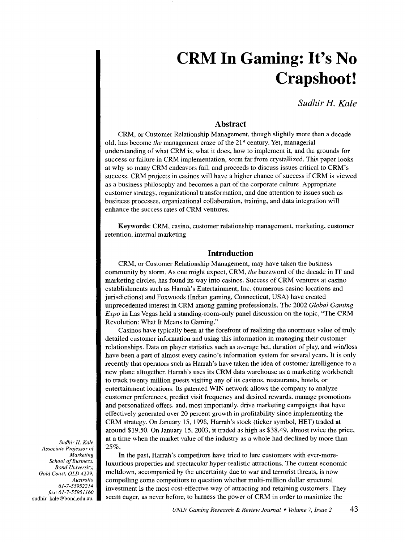# **CRM In Gaming: It's No Crapshoot!**

*Sudhir H. Kale* 

#### **Abstract**

CRM, or Customer Relationship Management, though slightly more than a decade old, has become *the* management craze of the 21st century. Yet, managerial understanding of what CRM is, what it does, how to implement it, and the grounds for success or failure in CRM implementation, seem far from crystallized. This paper looks at why so many CRM endeavors fail, and proceeds to discuss issues critical to CRM's success. CRM projects in casinos will have a higher chance of success if CRM is viewed as a business philosophy and becomes a part of the corporate culture. Appropriate customer strategy, organizational transformation, and due attention to issues such as business processes, organizational collaboration, training, and data integration will enhance the success rates of CRM ventures.

Keywords: CRM, casino, customer relationship management, marketing, customer retention, internal marketing

#### **Introduction**

CRM, or Customer Relationship Management, may have taken the business community by storm. As one might expect, CRM, *the* buzzword of the decade in IT and marketing circles, has found its way into casinos. Success of CRM ventures at casino establishments such as Harrah's Entertainment, Inc. (numerous casino locations and jurisdictions) and Foxwoods (Indian gaming, Connecticut, USA) have created unprecedented interest in CRM among gaming professionals. The 2002 *Global Gaming Expo* in Las Vegas held a standing-room-only panel discussion on the topic, "The CRM Revolution: What It Means to Gaming."

Casinos have typically been at the forefront of realizing the enormous value of truly detailed customer information and using this information in managing their customer relationships. Data on player statistics such as average bet, duration of play, and win/loss have been a part of almost every casino's information system for several years. It is only recently that operators such as Harrah's have taken the idea of customer intelligence to a new plane altogether. Harrah's uses its CRM data warehouse as a marketing workbench to track twenty million guests visiting any of its casinos, restaurants, hotels, or entertainment locations. Its patented WIN network allows the company to analyze customer preferences, predict visit frequency and desired rewards, manage promotions and personalized offers, and, most importantly, drive marketing campaigns that have effectively generated over 20 percent growth in profitability since implementing the CRM strategy. On January 15, 1998, Harrah's stock (ticker symbol, HET) traded at around \$19.50. On January 15, 2003, it traded as high as \$38.49, almost twice the price, at a time when the market value of the industry as a whole had declined by more than 25%.

In the past, Harrah's competitors have tried to lure customers with ever-moreluxurious properties and spectacular hyper-realistic attractions. The current economic meltdown, accompanied by the uncertainty due to war and terrorist threats, is now compelling some competitors to question whether multi-million dollar structural investment is the most cost-effective way of attracting and retaining customers. They seem eager, as never before, to harness the power of CRM in order to maximize the

*Sudhir* H. *Kale Associate Professor of Marketing School of Business, Bond University, Gold Coast, QLD 4229, Australia 61-7-55952214 fax: 61-7-55951160*  sudhir\_kale@ bond.edu.au.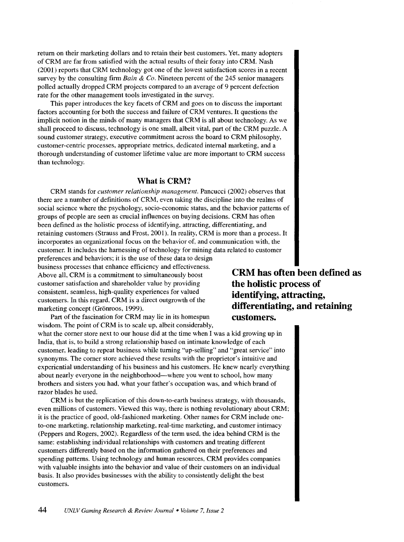return on their marketing dollars and to retain their best customers. Yet, many adopters of CRM are far from satisfied with the actual results of their foray into CRM. Nash (2001) reports that CRM technology got one of the lowest satisfaction scores in a recent survey by the consulting firm *Bain* & *Co.* Nineteen percent of the 245 senior managers polled actually dropped CRM projects compared to an average of 9 percent defection rate for the other management tools investigated in the survey.

This paper introduces the key facets of CRM and goes on to discuss the important factors accounting for both the success and failure of CRM ventures. It questions the implicit notion in the minds of many managers that CRM is all about technology. As we shall proceed to discuss, technology is one small, albeit vital, part of the CRM puzzle. A sound customer strategy, executive commitment across the board to CRM philosophy, customer-centric processes, appropriate metrics, dedicated internal marketing, and a thorough understanding of customer lifetime value are more important to CRM success than technology.

#### **What is CRM?**

CRM stands for *customer relationship management.* Pancucci (2002) observes that there are a number of definitions of CRM, even taking the discipline into the realms of social science where the psychology, socio-economic status, and the behavior patterns of groups of people are seen as crucial influences on buying decisions. CRM has often been defined as the holistic process of identifying, attracting, differentiating, and retaining customers (Strauss and Frost, 2001). In reality, CRM is more than a process. It incorporates an organizational focus on the behavior of, and communication with, the customer. It includes the harnessing of technology for mining data related to customer preferences and behaviors; it is the use of these data to design

business processes that enhance efficiency and effectiveness. Above all, CRM is a commitment to simultaneously boost customer satisfaction and shareholder value by providing consistent, seamless, high-quality experiences for valued customers. In this regard, CRM is a direct outgrowth of the marketing concept (Grönroos, 1999).

Part of the fascination for CRM may lie in its homespun wisdom. The point of CRM is to scale up, albeit considerably,

what the comer store next to our house did at the time when I was a kid growing up in India, that is, to build a strong relationship based on intimate knowledge of each customer, leading to repeat business while turning "up-selling" and "great service" into synonyms. The comer store achieved these results with the proprietor's intuitive and experiential understanding of his business and his customers. He knew nearly everything about nearly everyone in the neighborhood—where you went to school, how many brothers and sisters you had, what your father's occupation was, and which brand of razor blades he used.

CRM is but the replication of this down-to-earth business strategy, with thousands, even millions of customers. Viewed this way, there is nothing revolutionary about CRM; it is the practice of good, old-fashioned marketing. Other names for CRM include oneto-one marketing, relationship marketing, real-time marketing, and customer intimacy (Peppers and Rogers, 2002). Regardless of the term used, the idea behind CRM is the same: establishing individual relationships with customers and treating different customers differently based on the information gathered on their preferences and spending patterns. Using technology and human resources, CRM provides companies with valuable insights into the behavior and value of their customers on an individual basis. It also provides businesses with the ability to consistently delight the best customers.

**CRM has often been defined as the holistic process of identifying, attracting, differentiating, and retaining customers.**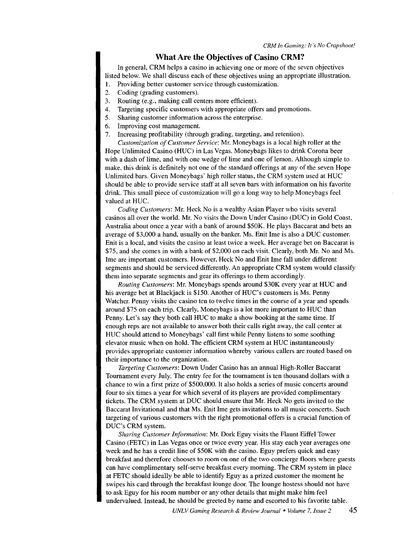#### **What Are the Objectives of Casino CRM?**

In general, CRM helps a casino in achieving one or more of the seven objectives listed below. We shall discuss each of these objectives using an appropriate illustration.

- 1. Providing better customer service through customization.
- 2. Coding (grading customers).
- 3. Routing (e.g., making call centers more efficient).
- 4. Targeting specific customers with appropriate offers and promotions.
- 5. Sharing customer information across the enterprise.
- 6. Improving cost management.
- 7. Increasing profitability (through grading, targeting, and retention).

*Customization of Customer Service: Mr. Moneybags is a local high roller at the* Hope Unlimited Casino (HUC) in Las Vegas. Moneybags likes to drink Corona beer with a dash of lime, and with one wedge of lime and one of lemon. Although simple to make, this drink is definitely not one of the standard offerings at any of the seven Hope Unlimited bars. Given Moneybags' high roller status, the CRM system used at HUC should be able to provide service staff at all seven bars with information on his favorite drink. This small piece of customization will go a long way to help Moneybags feel valued at HUC.

*Coding Customers:* Mr. Heck No is a wealthy Asian Player who visits several casinos all over the world. Mr. No visits the Down Under Casino (DUC) in Gold Coast, Australia about once a year with a bank of around \$50K. He plays Baccarat and bets an average of \$3,000 a hand, usually on the banker. Ms. Enit Ime is also a DUC customer. Enit is a local, and visits the casino at least twice a week. Her average bet on Baccarat is \$75, and she comes in with a bank of \$2,000 on each visit. Clearly, both Mr. No and Ms. lme are important customers. However, Heck No and Enit Ime fall under different segments and should be serviced differently. An appropriate CRM system would classify them into separate segments and gear its offerings to them accordingly.

*Routing Customers:* Mr. Moneybags spends around \$30K every year at HUC and his average bet at Blackjack is \$150. Another of HUC's customers is Ms. Penny Watcher. Penny visits the casino ten to twelve times in the course of a year and spends around \$75 on each trip. Clearly, Moneybags is a lot more important to HUC than Penny. Let's say they both call HUC to make a show booking at the same time. If enough reps are not available to answer both their calls right away, the call center at HUC should attend to Moneybags' call first while Penny listens to some soothing elevator music when on hold. The efficient CRM system at HUC instantaneously provides appropriate customer information whereby various callers are routed based on their importance to the organization.

*Targeting Customers:* Down Under Casino has an annual High-Roller Baccarat Tournament every July. The entry fee for the tournament is ten thousand dollars with a chance to win a first prize of \$500,000. It also holds a series of music concerts around four to six times a year for which several of its players are provided complimentary tickets. The CRM system at DUC should ensure that Mr. Heck No gets invited to the Baccarat Invitational and that Ms. Enit Ime gets invitations to all music concerts. Such targeting of various customers with the right promotional offers is a crucial function of DUC's CRM system.

*Sharing Customer Information:* Mr. Dork Eguy visits the Flaunt Eiffel Tower Casino (FETC) in Las Vegas once or twice every year. His stay each year averages one week and he has a credit line of \$50K with the casino. Eguy prefers quick and easy breakfast and therefore chooses to room on one of the two concierge floors where guests can have complimentary self-serve breakfast every morning. The CRM system in place at FETC should ideally be able to identify Eguy as a prized customer the moment he swipes his card through the breakfast lounge door. The lounge hostess should not have to ask Eguy for his room number or any other details that might make him feel undervalued. Instead, he should be greeted by name and escorted to his favorite table.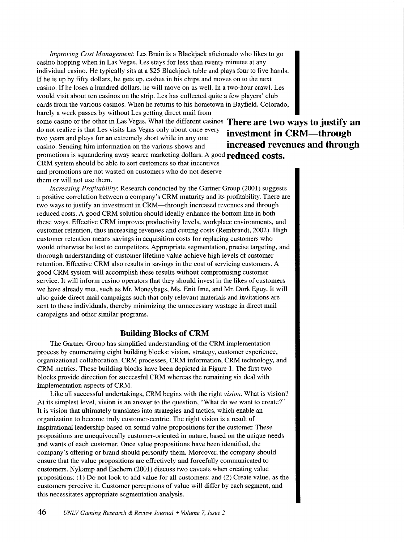*Improving Cost Management:* Les Brain is a Blackjack aficionado who likes to go casino hopping when in Las Vegas. Les stays for less than twenty minutes at any individual casino. He typically sits at a \$25 Blackjack table and plays four to five hands. If he is up by fifty dollars, he gets up, cashes in his chips and moves on to the next casino. If he loses a hundred dollars, he will move on as well. In a two-hour crawl, Les would visit about ten casinos on the strip. Les has collected quite a few players' club cards from the various casinos. When he returns to his hometown in Bayfield, Colorado,

barely a week passes by without Les getting direct mail from some casino or the other in Las Vegas. What the different casinos **There are two ways to justify an**  do not realize is that Les visits Las Vegas only about once every **investment in CRM—through** two years and plays for an extremely short while in any one casino. Sending him information on the various shows and **increased revenues and through**  promotions is squandering away scarce marketing dollars. A good **reduced costs.** 

CRM system should be able to sort customers so that incentives and promotions are not wasted on customers who do not deserve them or will not use them.

*Increasing Profitability:* Research conducted by the Gartner Group (2001) suggests a positive correlation between a company's CRM maturity and its profitability. There are two ways to justify an investment in CRM-through increased revenues and through reduced costs. A good CRM solution should ideally enhance the bottom line in both these ways. Effective CRM improves productivity levels, workplace environments, and customer retention, thus increasing revenues and cutting costs (Rembrandt, 2002). High customer retention means savings in acquisition costs for replacing customers who would otherwise be lost to competitors. Appropriate segmentation, precise targeting, and thorough understanding of customer lifetime value achieve high levels of customer retention. Effective CRM also results in savings in the cost of servicing customers. A good CRM system will accomplish these results without compromising customer service. It will inform casino operators that they should invest in the likes of customers we have already met, such as Mr. Moneybags, Ms. Enit Ime, and Mr. Dork Eguy. It will also guide direct mail campaigns such that only relevant materials and invitations are sent to these individuals, thereby minimizing the unnecessary wastage in direct mail campaigns and other similar programs.

#### **Building Blocks of CRM**

The Gartner Group has simplified understanding of the CRM implementation process by enumerating eight building blocks: vision, strategy, customer experience, organizational collaboration, CRM processes, CRM information, CRM technology, and CRM metrics. These building blocks have been depicted in Figure 1. The first two blocks provide direction for successful CRM whereas the remaining six deal with implementation aspects of CRM.

Like all successful undertakings, CRM begins with the right *vision.* What is vision? At its simplest level, vision is an answer to the question, "What do we want to create?" It is vision that ultimately translates into strategies and tactics, which enable an organization to become truly customer-centric. The right vision is a result of inspirational leadership based on sound value propositions for the customer. These propositions are unequivocally customer-oriented in nature, based on the unique needs and wants of each customer. Once value propositions have been identified, the company's offering or brand should personify them. Moreover, the company should ensure that the value propositions are effectively and forcefully communicated to customers. Nykamp and Eachem (2001) discuss two caveats when creating value propositions: (1) Do not look to add value for all customers; and (2) Create value, as the customers perceive it. Customer perceptions of value will differ by each segment, and this necessitates appropriate segmentation analysis.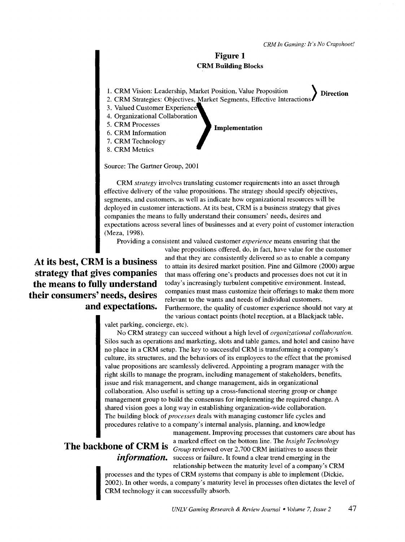**Direction** 

#### **Figure 1 CRM Building Blocks**

- 1. CRM Vision: Leadership, Market Position, Value Proposition )
- 2. CRM Strategies: Objectives, Market Segments, Effective Interactions
- 3. Valued Customer Experience
- 4. Organizational Collaboration
- 5. CRM Processes
- 5. CRM Processes<br>6. CRM Information
- 7. CRM Technology
- 8. CRM Metrics

Source: The Gartner Group, 2001

CRM *strategy* involves translating customer requirements into an asset through effective delivery of the value propositions. The strategy should specify objectives, segments, and customers, as well as indicate how organizational resources will be deployed in customer interactions. At its best, CRM is a business strategy that gives companies the means to fully understand their consumers' needs, desires and expectations across several lines of businesses and at every point of customer interaction (Meza, 1998).

Providing a consistent and valued customer *experience* means ensuring that the

**At its best, CRM is a business strategy that gives companies the means to fully understand their consumers' needs, desires and expectations.** 

value propositions offered, do, in fact, have value for the customer and that they are consistently delivered so as to enable a company to attain its desired market position. Pine and Gilmore (2000) argue that mass offering one's products and processes does not cut it in today's increasingly turbulent competitive environment. Instead, companies must mass customize their offerings to make them more relevant to the wants and needs of individual customers. Furthermore, the quality of customer experience should not vary at the various contact points (hotel reception, at a Blackjack table,

valet parking, concierge, etc).

No CRM strategy can succeed without a high level of *organizational collaboration.*  Silos such as operations and marketing, slots and table games, and hotel and casino have no place in a CRM setup. The key to successful CRM is transforming a company's culture, its structures, and the behaviors of its employees to the effect that the promised value propositions are seamlessly delivered. Appointing a program manager with the right skills to manage the program, including management of stakeholders, benefits, issue and risk management, and change management, aids in organizational collaboration. Also useful is setting up a cross-functional steering group or change management group to build the consensus for implementing the required change. A shared vision goes a long way in establishing organization-wide collaboration. The building block of *processes* deals with managing customer life cycles and procedures relative to a company's internal analysis, planning, and knowledge

management. Improving processes that customers care about has a marked effect on the bottom line. The *Insight Technology*  **The backbone of CRM is**  $Group$  reviewed over 2,700 CRM initiatives to assess their information. success or failure. It found a clear trend emerging in the relationship between the maturity level of a company's CRM

> $\frac{20}{\text{C}}$ processes and the types of CRM systems that company is able to implement (Dickie, 2002). In other words, a company's maturity level in processes often dictates the level of CRM technology it can successfully absorb.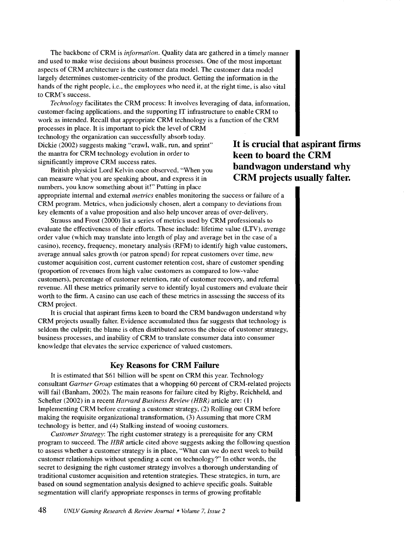The backbone of CRM is *infonnation.* Quality data are gathered in a timely manner and used to make wise decisions about business processes. One of the most important aspects of CRM architecture is the customer data model. The customer data model largely determines customer-centricity of the product. Getting the information in the hands of the right people, i.e., the employees who need it, at the right time, is also vital to CRM's success.

*Technology* facilitates the CRM process: It involves leveraging of data, information, customer-facing applications, and the supporting IT infrastructure to enable CRM to work as intended. Recall that appropriate CRM technology is a function of the CRM processes in place. It is important to pick the level of CRM technology the organization can successfully absorb today. Dickie (2002) suggests making "crawl, walk, run, and sprint" the mantra for CRM technology evolution in order to significantly improve CRM success rates.

British physicist Lord Kelvin once observed, "When you can measure what you are speaking about, and express it in numbers, you know something about it!" Putting in place

appropriate internal and external *metrics* enables monitoring the success or failure of a CRM program. Metrics, when judiciously chosen, alert a company to deviations from

key elements of a value proposition and also help uncover areas of over-delivery. Strauss and Frost (2000) list a series of metrics used by CRM professionals to evaluate the effectiveness of their efforts. These include: lifetime value (LTV), average order value (which may translate into length of play and average bet in the case of a casino), recency, frequency, monetary analysis (RFM) to identify high value customers, average annual sales growth (or patron spend) for repeat customers over time, new customer acquisition cost, current customer retention cost, share of customer spending (proportion of revenues from high value customers as compared to low-value customers), percentage of customer retention, rate of customer recovery, and referral revenue. All these metrics primarily serve to identify loyal customers and evaluate their worth to the firm. A casino can use each of these metrics in assessing the success of its CRM project.

It is crucial that aspirant firms keen to board the CRM bandwagon understand why CRM projects usually falter. Evidence accumulated thus far suggests that technology is seldom the culprit; the blame is often distributed across the choice of customer strategy, business processes, and inability of CRM to translate consumer data into consumer knowledge that elevates the service experience of valued customers.

#### **Key Reasons for CRM Failure**

It is estimated that \$61 billion will be spent on CRM this year. Technology consultant *Gartner Group* estimates that a whopping 60 percent of CRM-related projects will fail (Banham, 2002). The main reasons for failure cited by Rigby, Reichheld, and Schefter (2002) in a recent *Harvard Business Review (HBR)* article are: (1) Implementing CRM before creating a customer strategy, (2) Rolling out CRM before making the requisite organizational transformation, (3) Assuming that more CRM technology is better, and (4) Stalking instead of wooing customers.

*Customer Strategy:* The right customer strategy is a prerequisite for any CRM program to succeed. The *HBR* article cited above suggests asking the following question to assess whether a customer strategy is in place, "What can we do next week to build customer relationships without spending a cent on technology?" In other words, the secret to designing the right customer strategy involves a thorough understanding of traditional customer acquisition and retention strategies. These strategies, in tum, are based on sound segmentation analysis designed to achieve specific goals. Suitable segmentation will clarify appropriate responses in terms of growing profitable

**It is crucial that aspirant firms keen to board the CRM bandwagon understand why CRM projects usually falter.**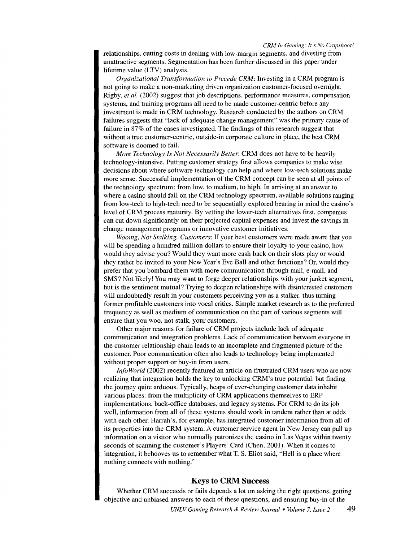#### *CRM In Gaming: It's No Crapshoot!*

relationships, cutting costs in dealing with low-margin segments, and divesting from unattractive segments. Segmentation has been further discussed in this paper under lifetime value (LTV) analysis.

*Organizational Transformation to Precede CRM:* Investing in a CRM program is not going to make a non-marketing driven organization customer-focused overnight. Rigby, *et at.* (2002) suggest that job descriptions, performance measures, compensation systems, and training programs all need to be made customer-centric before any investment is made in CRM technology. Research conducted by the authors on CRM failures suggests that "lack of adequate change management" was the primary cause of failure in 87% of the cases investigated. The findings of this research suggest that without a true customer-centric, outside-in corporate culture in place, the best CRM software is doomed to fail.

*More Technology Is Not Necessarily Better:* CRM does not have to be heavily technology-intensive. Putting customer strategy first allows companies to make wise decisions about where software technology can help and where low-tech solutions make more sense. Successful implementation of the CRM concept can be seen at all points of the technology spectrum: from low, to medium, to high. In arriving at an answer to where a casino should fall on the CRM technology spectrum, available solutions ranging from low-tech to high-tech need to be sequentially explored bearing in mind the casino's level of CRM process maturity. By vetting the lower-tech alternatives first, companies can cut down significantly on their projected capital expenses and invest the savings in change management programs or innovative customer initiatives.

*Wooing, Not Stalking, Customers:* If your best customers were made aware that you will be spending a hundred million dollars to ensure their loyalty to your casino, how would they advise you? Would they want more cash back on their slots play or would they rather be invited to your New Year's Eve Ball and other functions? Or, would they prefer that you bombard them with more communication through mail, e-mail, and SMS? Not likely! You may want to forge deeper relationships with your junket segment, but is the sentiment mutual? Trying to deepen relationships with disinterested customers will undoubtedly result in your customers perceiving you as a stalker, thus turning former profitable customers into vocal critics. Simple market research as to the preferred frequency as well as medium of communication on the part of various segments will ensure that you woo, not stalk, your customers.

Other major reasons for failure of CRM projects include lack of adequate communication and integration problems. Lack of communication between everyone in the customer relationship chain leads to an incomplete and fragmented picture of the customer. Poor communication often also leads to technology being implemented without proper support or buy-in from users.

*Info World* (2002) recently featured an article on frustrated CRM users who are now realizing that integration holds the key to unlocking CRM's true potential, but finding the journey quite arduous. Typically, heaps of ever-changing customer data inhabit various places: from the multiplicity of CRM applications themselves to ERP implementations, back-office databases, and legacy systems. For CRM to do its job well, information from all of these systems should work in tandem rather than at odds with each other. Harrah's, for example, has integrated customer information from all of its properties into the CRM system. A customer service agent in New Jersey can pull up information on a visitor who normally patronizes the casino in Las Vegas within twenty seconds of scanning the customer's Players' Card (Chen, 2001). When it comes to integration, it behooves us to remember what T. S. Eliot said, "Hell is a place where nothing connects with nothing."

#### **Keys to CRM Success**

Whether CRM succeeds or fails depends a lot on asking the right questions, getting objective and unbiased answers to each of these questions, and ensuring buy-in of the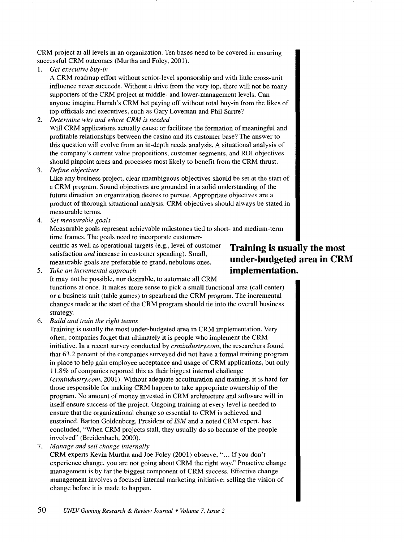CRM project at all levels in an organization. Ten bases need to be covered in ensuring successful CRM outcomes (Murtha and Foley, 2001).

1. *Get executive buy-in* 

A CRM roadmap effort without senior-level sponsorship and with little cross-unit influence never succeeds. Without a drive from the very top, there will not be many supporters of the CRM project at middle- and lower-management levels. Can anyone imagine Harrah's CRM bet paying off without total buy-in from the likes of top officials and executives, such as Gary Loveman and Phil Sartre?

2. *Determine why and where CRM is needed* 

Will CRM applications actually cause or facilitate the formation of meaningful and profitable relationships between the casino and its customer base? The answer to this question will evolve from an in-depth needs analysis. A situational analysis of the company's current value propositions, customer segments, and ROI objectives should pinpoint areas and processes most likely to benefit from the CRM thrust.

3. *Define objectives* 

Like any business project, clear unambiguous objectives should be set at the start of a CRM program. Sound objectives are grounded in a solid understanding of the future direction an organization desires to pursue. Appropriate objectives are a product of thorough situational analysis. CRM objectives should always be stated in measurable terms.

4. *Set measurable goals* 

Measurable goals represent achievable milestones tied to short- and medium-term time frames. The goals need to incorporate customer-

centric as well as operational targets (e.g., level of customer satisfaction *and* increase in customer spending). Small, measurable goals are preferable to grand, nebulous ones.

## **Training is usually the most under-budgeted area in CRM: implementation.**

5. *Take an incremental approach*  It may not be possible, nor desirable, to automate all CRM

functions at once. It makes more sense to pick a small functional area (call center) or a business unit (table games) to spearhead the CRM program. The incremental changes made at the start of the CRM program should tie into the overall business strategy.

6. *Build and train the right teams* 

Training is usually the most under-budgeted area in CRM implementation. Very often, companies forget that ultimately it is people who implement the CRM initiative. In a recent survey conducted by *crmindustry.com,* the researchers found that 63.2 percent of the companies surveyed did not have a formal training program in place to help gain employee acceptance and usage of CRM applications, but only 11.8% of companies reported this as their biggest internal challenge *(crmindustry.com,* 2001). Without adequate acculturation and training, it is hard for those responsible for making CRM happen to take appropriate ownership of the program. No amount of money invested in CRM architecture and software will in itself ensure success of the project. Ongoing training at every level is needed to ensure that the organizational change so essential to CRM is achieved and sustained. Barton Goldenberg, President of *ISM* and a noted CRM expert, has concluded, "When CRM projects stall, they usually do so because of the people involved" (Breidenbach, 2000).

7. *Manage and sell change internally* 

CRM experts Kevin Murtha and Joe Foley (2001) observe," ... If you don't experience change, you are not going about CRM the right way." Proactive change management is by far the biggest component of CRM success. Effective change management involves a focused internal marketing initiative: selling the vision of change before it is made to happen.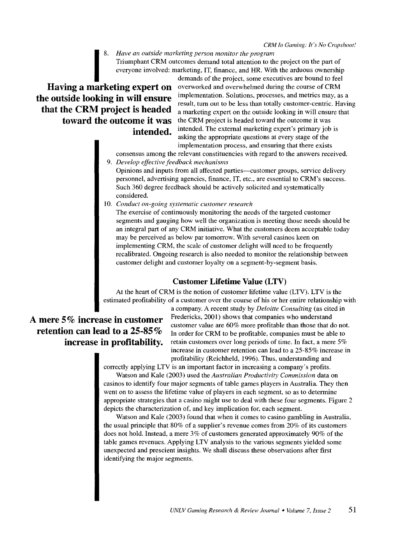ERM<br>
8. Have an outside marketing person monitor the program<br>
Triumphant CRM outcomes demand total attention to the<br>
everyone involved: marketing, IT, finance, and HR. With<br>
demands of the project, some exec<br> **arketing exp** Triumphant CRM outcomes demand total attention to the project on the part of everyone involved: marketing, IT, finance, and HR. With the arduous ownership

## **Having a marketing expert on the outside looking in will ensure that the CRM project is headed toward the outcome it was intended.**

demands of the project, some executives are bound to feel overworked and overwhelmed during the course of CRM implementation. Solutions, processes, and metrics may, as a result, tum out to be less than totally customer-centric. Having a marketing expert on the outside looking in will ensure that the CRM project is headed toward the outcome it was intended. The external marketing expert's primary job is asking the appropriate questions at every stage of the implementation process, and ensuring that there exists

consensus among the relevant constituencies with regard to the answers received.

9. *Develop effective feedback mechanisms* 

Opinions and inputs from all affected parties-customer groups, service delivery personnel, advertising agencies, finance, IT, etc., are essential to CRM's success. Such 360 degree feedback should be actively solicited and systematically considered.

10. *Conduct on-going systematic customer research* 

The exercise of continuously monitoring the needs of the targeted customer segments and gauging how well the organization is meeting those needs should be an integral part of any CRM initiative. What the customers deem acceptable today may be perceived as below par tomorrow. With several casinos keen on implementing CRM, the scale of customer delight will need to be frequently recalibrated. Ongoing research is also needed to monitor the relationship between customer delight and customer loyalty on a segment-by-segment basis.

### **Customer Lifetime Value (LTV)**

At the heart of CRM is the notion of customer lifetime value (LTV). LTV is the estimated profitability of a customer over the course of his or her entire relationship with

# **A mere 5% increase in customer retention can lead to a 25-85%**

a company. A recent study by *Deloitte Consulting* (as cited in Fredericks, 2001) shows that companies who understand customer value are 60% more profitable than those that do not. In order for CRM to be profitable, companies must be able to **increase in profitability.** retain customers over long periods of time. In fact, a mere 5% increase in customer retention can lead to a 25-85% increase in profitability (Reichheld, 1996). Thus, understanding and

correctly applying LTV is an important factor in increasing a company's profits.

Watson and Kale (2003) used the *Australian Productivity Commission* data on casinos to identify four major segments of table games players in Australia. They then went on to assess the lifetime value of players in each segment, so as to determine appropriate strategies that a casino might use to deal with these four segments. Figure 2 depicts the characterization of, and key implication for, each segment.

Watson and Kale (2003) found that when it comes to casino gambling in Australia, the usual principle that 80% of a supplier's revenue comes from 20% of its customers does not hold. Instead, a mere 3% of customers generated approximately 90% of the table games revenues. Applying LTV analysis to the various segments yielded some unexpected and prescient insights. We shall discuss these observations after first identifying the major segments.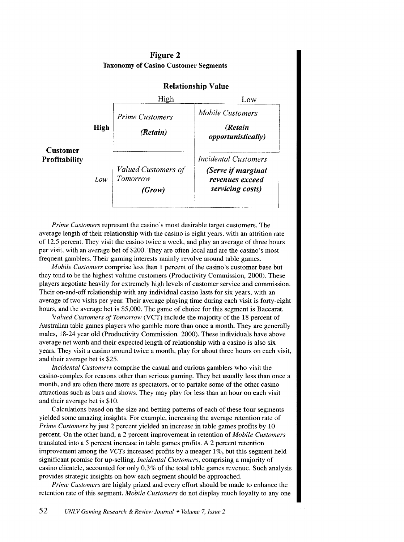|                                         |             | <b>Relationship Value</b>                 |                                                           |
|-----------------------------------------|-------------|-------------------------------------------|-----------------------------------------------------------|
|                                         |             | High                                      | Low                                                       |
|                                         |             | <i>Prime Customers</i>                    | Mobile Customers                                          |
| <b>Customer</b><br><b>Profitability</b> | <b>High</b> | (Retain)                                  | (Retain<br><i>opportunistically</i> )                     |
|                                         |             |                                           | <b>Incidental Customers</b>                               |
|                                         | Low         | Valued Customers of<br>Tomorrow<br>(Grow) | (Serve if marginal<br>revenues exceed<br>servicing costs) |

#### Figure 2 Taxonomy of Casino Customer Segments

*Prime Customers* represent the casino's most desirable target customers. The average length of their relationship with the casino is eight years, with an attrition rate of 12.5 percent. They visit the casino twice a week, and play an average of three hours per visit, with an average bet of \$200. They are often local and are the casino's most frequent gamblers. Their gaming interests mainly revolve around table games.

*Mobile Customers* comprise less than 1 percent of the casino's customer base but they tend to be the highest volume customers (Productivity Commission, 2000). These players negotiate heavily for extremely high levels of customer service and commission. Their on-and-off relationship with any individual casino lasts for six years, with an average of two visits per year. Their average playing time during each visit is forty-eight hours, and the average bet is \$5,000. The game of choice for this segment is Baccarat.

*Valued Customers ofTomorrow* (VCT) include the majority of the 18 percent of Australian table games players who gamble more than once a month. They are generally males, 18-24 year old (Productivity Commission, 2000). These individuals have above average net worth and their expected length of relationship with a casino is also six years. They visit a casino around twice a month, play for about three hours on each visit, and their average bet is \$25.

*Incidental Customers* comprise the casual and curious gamblers who visit the casino-complex for reasons other than serious gaming. They bet usually less than once a month, and are often there more as spectators, or to partake some of the other casino attractions such as bars and shows. They may play for less than an hour on each visit and their average bet is \$10.

Calculations based on the size and betting patterns of each of these four segments yielded some amazing insights. For example, increasing the average retention rate of *Prime Customers* by just 2 percent yielded an increase in table games profits by 10 percent. On the other hand, a 2 percent improvement in retention of *Mobile Customers*  translated into a 5 percent increase in table games profits. A 2 percent retention improvement among the *VCTs* increased profits by a meager 1%, but this segment held significant promise for up-selling. *Incidental Customers,* comprising a majority of casino clientele, accounted for only 0.3% of the total table games revenue. Such analysis provides strategic insights on how each segment should be approached.

*Prime Customers* are highly prized and every effort should be made to enhance the retention rate of this segment. *Mobile Customers* do not display much loyalty to any one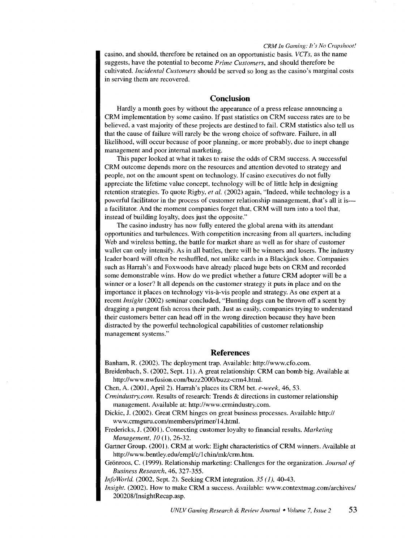*CRM In Gaming: It's No Crapshoot!* 

casino, and should, therefore be retained on an opportunistic basis. *VCTs,* as the name suggests, have the potential to become *Prime Customers,* and should therefore be cultivated. *Incidental Customers* should be served so long as the casino's marginal costs in serving them are recovered.

#### **Conclusion**

Hardly a month goes by without the appearance of a press release announcing a CRM implementation by some casino. If past statistics on CRM success rates are to be believed, a vast majority of these projects are destined to fail. CRM statistics also tell us that the cause of failure will rarely be the wrong choice of software. Failure, in all likelihood, will occur because of poor planning, or more probably. due to inept change management and poor internal marketing.

This paper looked at what it takes to raise the odds of CRM success. A successful CRM outcome depends more on the resources and attention devoted to strategy and people, not on the amount spent on technology. If casino executives do not fully appreciate the lifetime value concept, technology will be of little help in designing retention strategies. To quote Rigby, *et al.* (2002) again, "Indeed, while technology is a powerful facilitator in the process of customer relationship management, that's all it isa facilitator. And the moment companies forget that. CRM will tum into a tool that, instead of building loyalty, does just the opposite."

The casino industry has now fully entered the global arena with its attendant opportunities and turbulences. With competition increasing from all quarters, including Web and wireless betting, the battle for market share as well as for share of customer wallet can only intensify. As in all battles, there will be winners and losers. The industry leader board will often be reshuffled, not unlike cards in a Blackjack shoe. Companies such as Harrah's and Foxwoods have already placed huge bets on CRM and recorded some demonstrable wins. How do we predict whether a future CRM adopter will be a winner or a loser? It all depends on the customer strategy it puts in place and on the importance it places on technology vis-a-vis people and strategy. As one expert at a recent *Insight* (2002) seminar concluded, "Hunting dogs can be thrown off a scent by dragging a pungent fish across their path. Just as easily, companies trying to understand their customers better can head off in the wrong direction because they have been distracted by the powerful technological capabilities of customer relationship management systems."

#### **References**

Banham, R. (2002). The deployment trap. Available: http://www.cfo.com.

- Breidenbach, S. (2002, Sept. 11). A great relationship: CRM can bomb big. Available at http://www.nwfusion.com/buzz2000/buzz-crm4.html.
- Chen, A. (2001, April2). Harrah's places its CRM bet. *e-week,* 46, 53.
- *Crmindustry.com.* Results of research: Trends & directions in customer relationship management. Available at: http://www.crmindustry.com.
- Dickie, J. (2002). Great CRM hinges on great business processes. Available http:// www.crmguru.com/members/primer/ 14.html.
- Fredericks, J. (2001). Connecting customer loyalty to financial results. Marketing *Management, 10* (1), 26-32.
- Gartner Group. (2001). CRM at work: Eight characteristics of CRM winners. Available at http://www.bentley.edu/empl/c/1chin/mk/crm.htm.
- Grönroos, C. (1999). Relationship marketing: Challenges for the organization. *Journal of Business Research,* 46, 327-355.

*Info World.* (2002, Sept. 2). Seeking CRM integration. *35 ( 1),* 40-43.

*Insight.* (2002). How to make CRM a success. Available: www.contextmag.com/archives/ 200208/lnsightRecap.asp.